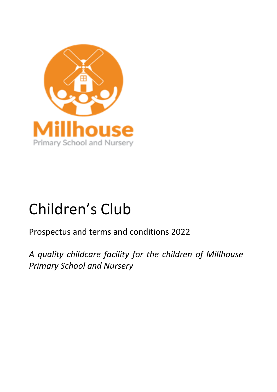

# Children's Club

Prospectus and terms and conditions 2022

*A quality childcare facility for the children of Millhouse Primary School and Nursery*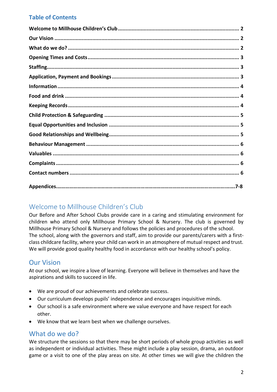## **Table of Contents**

# <span id="page-1-0"></span>Welcome to Millhouse Children's Club

Our Before and After School Clubs provide care in a caring and stimulating environment for children who attend only Millhouse Primary School & Nursery. The club is governed by Millhouse Primary School & Nursery and follows the policies and procedures of the school. The school, along with the governors and staff, aim to provide our parents/carers with a firstclass childcare facility, where your child can work in an atmosphere of mutual respect and trust. We will provide good quality healthy food in accordance with our healthy school's policy.

# <span id="page-1-1"></span>Our Vision

At our school, we inspire a love of learning. Everyone will believe in themselves and have the aspirations and skills to succeed in life.

- We are proud of our achievements and celebrate success.
- Our curriculum develops pupils' independence and encourages inquisitive minds.
- Our school is a safe environment where we value everyone and have respect for each other.
- We know that we learn best when we challenge ourselves.

## <span id="page-1-2"></span>What do we do?

We structure the sessions so that there may be short periods of whole group activities as well as independent or individual activities. These might include a play session, drama, an outdoor game or a visit to one of the play areas on site. At other times we will give the children the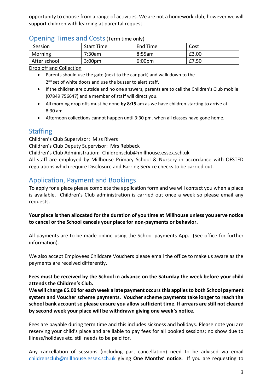opportunity to choose from a range of activities. We are not a homework club; however we will support children with learning at parental request.

<span id="page-2-0"></span>

|  | <b>Opening Times and Costs (Term time only)</b> |
|--|-------------------------------------------------|
|--|-------------------------------------------------|

| Session      | <b>Start Time</b>  | End Time           | Cost  |
|--------------|--------------------|--------------------|-------|
| Morning      | 7:30am             | 8:55am             | £3.00 |
| After school | 3:00 <sub>pm</sub> | 6:00 <sub>pm</sub> | £7.50 |

Drop off and Collection

- Parents should use the gate (next to the car park) and walk down to the 2<sup>nd</sup> set of white doors and use the buzzer to alert staff.
- If the children are outside and no one answers, parents are to call the Children's Club mobile (07849 756647) and a member of staff will direct you.
- All morning drop offs must be done **by 8:15** am as we have children starting to arrive at 8:30 am.
- Afternoon collections cannot happen until 3:30 pm, when all classes have gone home.

# <span id="page-2-1"></span>**Staffing**

Children's Club Supervisor: Miss Rivers

Children's Club Deputy Supervisor: Mrs Rebbeck

Children's Club Administration: Childrensclub@millhouse.essex.sch.uk

All staff are employed by Millhouse Primary School & Nursery in accordance with OFSTED regulations which require Disclosure and Barring Service checks to be carried out.

# <span id="page-2-2"></span>Application, Payment and Bookings

To apply for a place please complete the application form and we will contact you when a place is available. Children's Club administration is carried out once a week so please email any requests.

**Your place is then allocated for the duration of you time at Millhouse unless you serve notice to cancel or the School cancels your place for non-payments or behavior.**

All payments are to be made online using the School payments App. (See office for further information).

We also accept Employees Childcare Vouchers please email the office to make us aware as the payments are received differently.

#### **Fees must be received by the School in advance on the Saturday the week before your child attends the Children's Club.**

**We will charge £5.00 for each week a late payment occursthis applies to both School payment system and Voucher scheme payments. Voucher scheme payments take longer to reach the school bank account so please ensure you allow sufficient time. If arrears are still not cleared by second week your place will be withdrawn giving one week's notice.**

Fees are payable during term time and this includes sickness and holidays. Please note you are reserving your child's place and are liable to pay fees for all booked sessions; no show due to illness/holidays etc. still needs to be paid for.

Any cancellation of sessions (including part cancellation) need to be advised via email [childrensclub@millhouse.essex.sch.uk](mailto:childrensclub@millhouse.essex.sch.uk) giving **One Months' notice.** If you are requesting to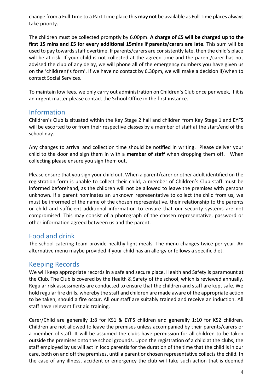change from a Full Time to a Part Time place this **may not** be available as Full Time places always take priority.

The children must be collected promptly by 6.00pm. **A charge of £5 will be charged up to the first 15 mins and £5 for every additional 15mins if parents/carers are late.** This sum will be used to pay towards staff overtime. If parents/carers are consistently late, then the child's place will be at risk. If your child is not collected at the agreed time and the parent/carer has not advised the club of any delay, we will phone all of the emergency numbers you have given us on the 'child(ren)'s form'. If we have no contact by 6.30pm, we will make a decision if/when to contact Social Services.

To maintain low fees, we only carry out administration on Children's Club once per week, if it is an urgent matter please contact the School Office in the first instance.

#### <span id="page-3-0"></span>Information

Children's Club is situated within the Key Stage 2 hall and children from Key Stage 1 and EYFS will be escorted to or from their respective classes by a member of staff at the start/end of the school day.

Any changes to arrival and collection time should be notified in writing. Please deliver your child to the door and sign them in with a **member of staff** when dropping them off. When collecting please ensure you sign them out.

Please ensure that you sign your child out. When a parent/carer or other adult identified on the registration form is unable to collect their child, a member of Children's Club staff must be informed beforehand, as the children will not be allowed to leave the premises with persons unknown. If a parent nominates an unknown representative to collect the child from us, we must be informed of the name of the chosen representative, their relationship to the parents or child and sufficient additional information to ensure that our security systems are not compromised. This may consist of a photograph of the chosen representative, password or other information agreed between us and the parent.

## <span id="page-3-1"></span>Food and drink

The school catering team provide healthy light meals. The menu changes twice per year. An alternative menu maybe provided if your child has an allergy or follows a specific diet.

#### <span id="page-3-2"></span>Keeping Records

We will keep appropriate records in a safe and secure place. Health and Safety is paramount at the Club. The Club is covered by the Health & Safety of the school, which is reviewed annually. Regular risk assessments are conducted to ensure that the children and staff are kept safe. We hold regular fire drills, whereby the staff and children are made aware of the appropriate action to be taken, should a fire occur. All our staff are suitably trained and receive an induction. All staff have relevant first aid training.

Carer/Child are generally 1:8 for KS1 & EYFS children and generally 1:10 for KS2 children. Children are not allowed to leave the premises unless accompanied by their parents/carers or a member of staff. It will be assumed the clubs have permission for all children to be taken outside the premises onto the school grounds. Upon the registration of a child at the clubs, the staff employed by us will act in loco parentis for the duration of the time that the child is in our care, both on and off the premises, until a parent or chosen representative collects the child. In the case of any illness, accident or emergency the club will take such action that is deemed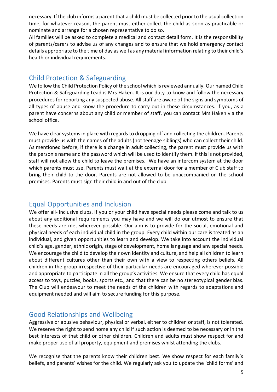necessary. If the club informs a parent that a child must be collected prior to the usual collection time, for whatever reason, the parent must either collect the child as soon as practicable or nominate and arrange for a chosen representative to do so.

All families will be asked to complete a medical and contact detail form. It is the responsibility of parents/carers to advise us of any changes and to ensure that we hold emergency contact details appropriate to the time of day as well as any material information relating to their child's health or individual requirements.

#### <span id="page-4-0"></span>Child Protection & Safeguarding

We follow the Child Protection Policy of the school which is reviewed annually. Our named Child Protection & Safeguarding Lead is Mrs Haken. It is our duty to know and follow the necessary procedures for reporting any suspected abuse. All staff are aware of the signs and symptoms of all types of abuse and know the procedure to carry out in these circumstances. If you, as a parent have concerns about any child or member of staff, you can contact Mrs Haken via the school office.

We have clear systems in place with regards to dropping off and collecting the children. Parents must provide us with the names of the adults (not teenage siblings) who can collect their child. As mentioned before, if there is a change in adult collecting, the parent must provide us with the person's name and the password which will be used to identify them. If this is not provided, staff will not allow the child to leave the premises. We have an intercom system at the door which parents must use. Parents must wait at the external door for a member of Club staff to bring their child to the door. Parents are not allowed to be unaccompanied on the school premises. Parents must sign their child in and out of the club.

#### <span id="page-4-1"></span>Equal Opportunities and Inclusion

We offer all- inclusive clubs. If you or your child have special needs please come and talk to us about any additional requirements you may have and we will do our utmost to ensure that these needs are met wherever possible. Our aim is to provide for the social, emotional and physical needs of each individual child in the group. Every child within our care is treated as an individual, and given opportunities to learn and develop. We take into account the individual child's age, gender, ethnic origin, stage of development, home language and any special needs. We encourage the child to develop their own identity and culture, and help all children to learn about different cultures other than their own with a view to respecting others beliefs. All children in the group irrespective of their particular needs are encouraged wherever possible and appropriate to participate in all the group's activities. We ensure that every child has equal access to toys, puzzles, books, sports etc., and that there can be no stereotypical gender bias. The Club will endeavour to meet the needs of the children with regards to adaptations and equipment needed and will aim to secure funding for this purpose.

## <span id="page-4-2"></span>Good Relationships and Wellbeing

Aggressive or abusive behaviour, physical or verbal, either to children or staff, is not tolerated. We reserve the right to send home any child if such action is deemed to be necessary or in the best interests of that child or other children. Children and adults must show respect for and make proper use of all property, equipment and premises whilst attending the clubs.

We recognise that the parents know their children best. We show respect for each family's beliefs, and parents' wishes for the child. We regularly ask you to update the 'child forms' and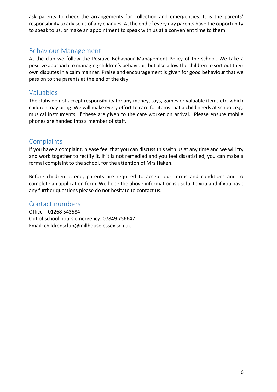ask parents to check the arrangements for collection and emergencies. It is the parents' responsibility to advise us of any changes. At the end of every day parents have the opportunity to speak to us, or make an appointment to speak with us at a convenient time to them.

## <span id="page-5-0"></span>Behaviour Management

At the club we follow the Positive Behaviour Management Policy of the school. We take a positive approach to managing children's behaviour, but also allow the children to sort out their own disputes in a calm manner. Praise and encouragement is given for good behaviour that we pass on to the parents at the end of the day.

# <span id="page-5-1"></span>Valuables

The clubs do not accept responsibility for any money, toys, games or valuable items etc. which children may bring. We will make every effort to care for items that a child needs at school, e.g. musical instruments, if these are given to the care worker on arrival. Please ensure mobile phones are handed into a member of staff.

## <span id="page-5-2"></span>**Complaints**

If you have a complaint, please feel that you can discuss this with us at any time and we will try and work together to rectify it. If it is not remedied and you feel dissatisfied, you can make a formal complaint to the school, for the attention of Mrs Haken.

Before children attend, parents are required to accept our terms and conditions and to complete an application form. We hope the above information is useful to you and if you have any further questions please do not hesitate to contact us.

#### <span id="page-5-3"></span>Contact numbers

Office – 01268 543584 Out of school hours emergency: 07849 756647 Email: childrensclub@millhouse.essex.sch.uk